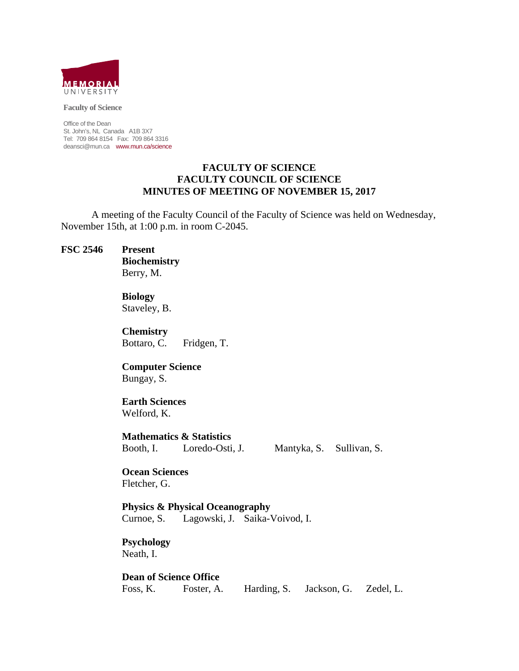

**Faculty of Science** 

Office of the Dean St. John's, NL Canada A1B 3X7 Tel: 709 864 8154 Fax: 709 864 3316 deansci@mun.ca www.mun.ca/science

#### **FACULTY OF SCIENCE FACULTY COUNCIL OF SCIENCE MINUTES OF MEETING OF NOVEMBER 15, 2017**

 A meeting of the Faculty Council of the Faculty of Science was held on Wednesday, November 15th, at 1:00 p.m. in room C-2045.

#### **FSC 2546 Present**

 **Biochemistry** Berry, M.

 **Biology** Staveley, B.

 **Chemistry**  Bottaro, C. Fridgen, T.

 **Computer Science** Bungay, S.

#### **Earth Sciences**  Welford, K.

**Mathematics & Statistics** 

Booth, I. Loredo-Osti, J. Mantyka, S. Sullivan, S.

 **Ocean Sciences**  Fletcher, G.

 **Physics & Physical Oceanography** Curnoe, S. Lagowski, J. Saika-Voivod, I.

 **Psychology** Neath, I.

 **Dean of Science Office** Foss, K. Foster, A. Harding, S. Jackson, G. Zedel, L.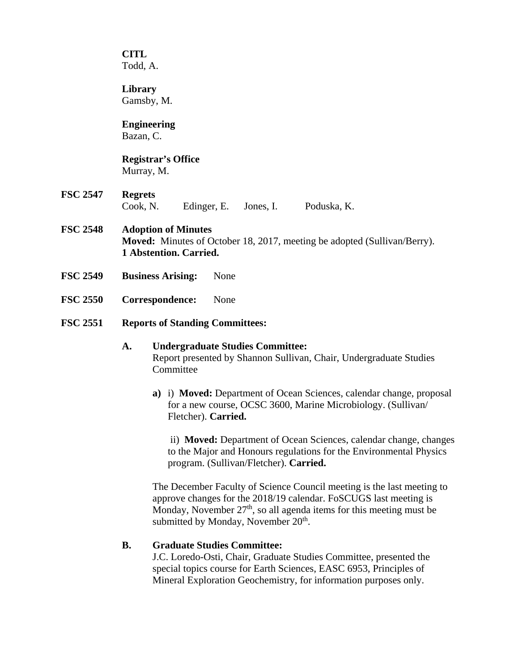**CITL** Todd, A.

**Library**  Gamsby, M.

# **Engineering**

Bazan, C.

## **Registrar's Office**  Murray, M.

**FSC 2547 Regrets** Cook, N. Edinger, E. Jones, I. Poduska, K.

## **FSC 2548 Adoption of Minutes Moved:** Minutes of October 18, 2017, meeting be adopted (Sullivan/Berry). **1 Abstention. Carried.**

- **FSC 2549 Business Arising:** None
- **FSC 2550 Correspondence:** None

## **FSC 2551 Reports of Standing Committees:**

#### **A. Undergraduate Studies Committee:**  Report presented by Shannon Sullivan, Chair, Undergraduate Studies **Committee**

**a)** i) **Moved:** Department of Ocean Sciences, calendar change, proposal for a new course, OCSC 3600, Marine Microbiology. (Sullivan/ Fletcher). **Carried.** 

 ii) **Moved:** Department of Ocean Sciences, calendar change, changes to the Major and Honours regulations for the Environmental Physics program. (Sullivan/Fletcher). **Carried.**

The December Faculty of Science Council meeting is the last meeting to approve changes for the 2018/19 calendar. FoSCUGS last meeting is Monday, November  $27<sup>th</sup>$ , so all agenda items for this meeting must be submitted by Monday, November  $20<sup>th</sup>$ .

## **B. Graduate Studies Committee:**

J.C. Loredo-Osti, Chair, Graduate Studies Committee, presented the special topics course for Earth Sciences, EASC 6953, Principles of Mineral Exploration Geochemistry, for information purposes only.